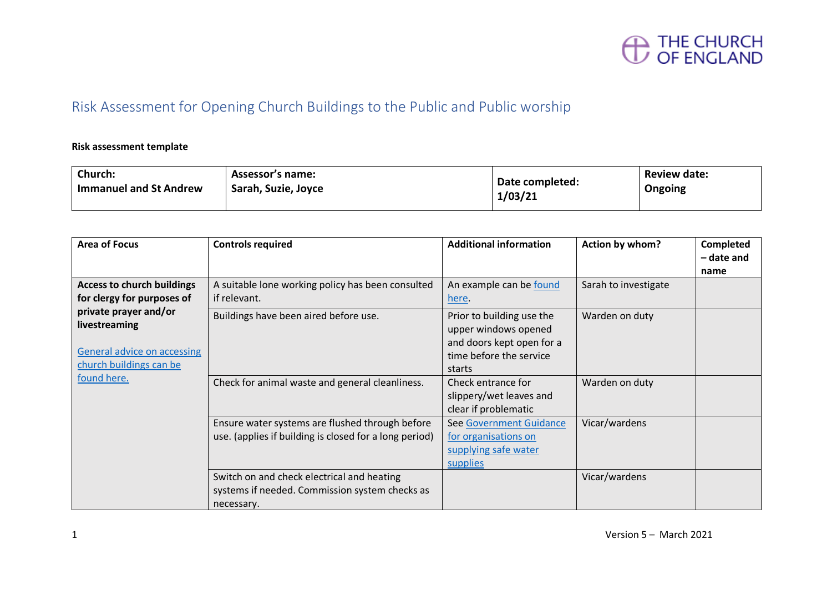

#### Risk Assessment for Opening Church Buildings to the Public and Public worship

#### **Risk assessment template**

| Church:                       | <b>Assessor's name:</b> | Date completed: | Review date: |
|-------------------------------|-------------------------|-----------------|--------------|
| <b>Immanuel and St Andrew</b> | Sarah, Suzie, Joyce     | 1/03/21         | Ongoing      |

| Area of Focus                                                                                           | <b>Controls required</b>                                                                                   | <b>Additional information</b>                                                                                       | Action by whom?      | <b>Completed</b><br>- date and |
|---------------------------------------------------------------------------------------------------------|------------------------------------------------------------------------------------------------------------|---------------------------------------------------------------------------------------------------------------------|----------------------|--------------------------------|
| <b>Access to church buildings</b><br>for clergy for purposes of                                         | A suitable lone working policy has been consulted<br>if relevant.                                          | An example can be found<br>here.                                                                                    | Sarah to investigate | name                           |
| private prayer and/or<br>livestreaming<br><b>General advice on accessing</b><br>church buildings can be | Buildings have been aired before use.                                                                      | Prior to building use the<br>upper windows opened<br>and doors kept open for a<br>time before the service<br>starts | Warden on duty       |                                |
| found here.                                                                                             | Check for animal waste and general cleanliness.                                                            | Check entrance for<br>slippery/wet leaves and<br>clear if problematic                                               | Warden on duty       |                                |
|                                                                                                         | Ensure water systems are flushed through before<br>use. (applies if building is closed for a long period)  | See Government Guidance<br>for organisations on<br>supplying safe water<br>supplies                                 | Vicar/wardens        |                                |
|                                                                                                         | Switch on and check electrical and heating<br>systems if needed. Commission system checks as<br>necessary. |                                                                                                                     | Vicar/wardens        |                                |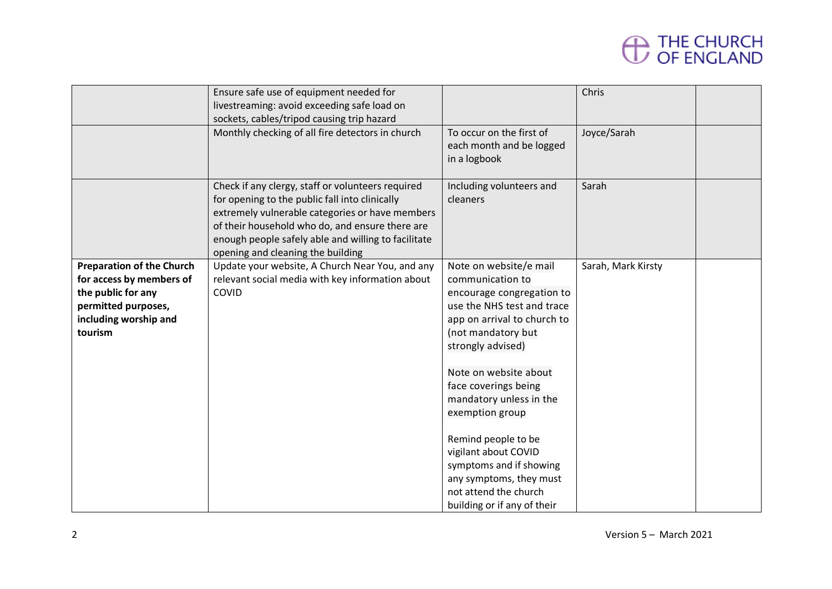|                                                                                                                                               | Ensure safe use of equipment needed for<br>livestreaming: avoid exceeding safe load on<br>sockets, cables/tripod causing trip hazard<br>Monthly checking of all fire detectors in church                                                                                                              | To occur on the first of<br>each month and be logged<br>in a logbook                                                                                                                                                                                                                                                                                                                                                                        | Chris<br>Joyce/Sarah |  |
|-----------------------------------------------------------------------------------------------------------------------------------------------|-------------------------------------------------------------------------------------------------------------------------------------------------------------------------------------------------------------------------------------------------------------------------------------------------------|---------------------------------------------------------------------------------------------------------------------------------------------------------------------------------------------------------------------------------------------------------------------------------------------------------------------------------------------------------------------------------------------------------------------------------------------|----------------------|--|
|                                                                                                                                               | Check if any clergy, staff or volunteers required<br>for opening to the public fall into clinically<br>extremely vulnerable categories or have members<br>of their household who do, and ensure there are<br>enough people safely able and willing to facilitate<br>opening and cleaning the building | Including volunteers and<br>cleaners                                                                                                                                                                                                                                                                                                                                                                                                        | Sarah                |  |
| <b>Preparation of the Church</b><br>for access by members of<br>the public for any<br>permitted purposes,<br>including worship and<br>tourism | Update your website, A Church Near You, and any<br>relevant social media with key information about<br>COVID                                                                                                                                                                                          | Note on website/e mail<br>communication to<br>encourage congregation to<br>use the NHS test and trace<br>app on arrival to church to<br>(not mandatory but<br>strongly advised)<br>Note on website about<br>face coverings being<br>mandatory unless in the<br>exemption group<br>Remind people to be<br>vigilant about COVID<br>symptoms and if showing<br>any symptoms, they must<br>not attend the church<br>building or if any of their | Sarah, Mark Kirsty   |  |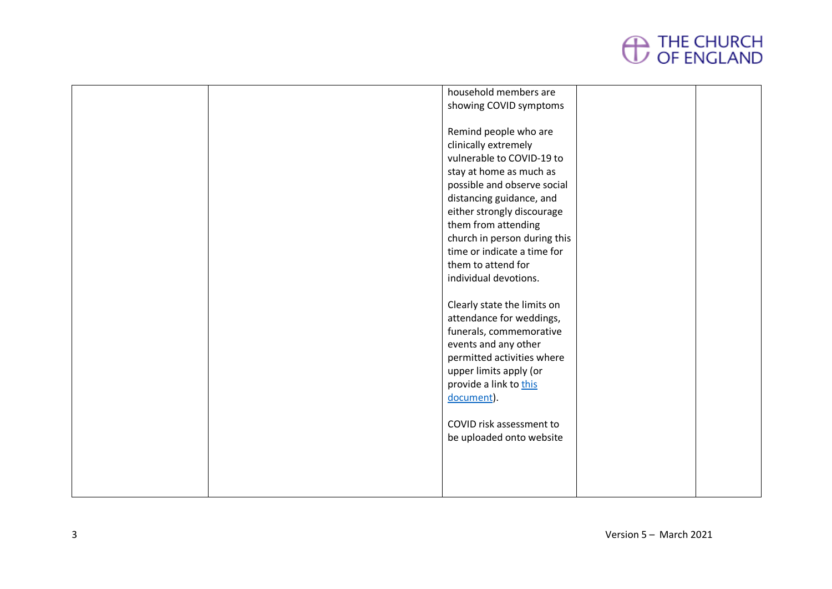|  | household members are        |  |
|--|------------------------------|--|
|  | showing COVID symptoms       |  |
|  |                              |  |
|  | Remind people who are        |  |
|  | clinically extremely         |  |
|  | vulnerable to COVID-19 to    |  |
|  | stay at home as much as      |  |
|  | possible and observe social  |  |
|  | distancing guidance, and     |  |
|  | either strongly discourage   |  |
|  | them from attending          |  |
|  | church in person during this |  |
|  | time or indicate a time for  |  |
|  | them to attend for           |  |
|  | individual devotions.        |  |
|  |                              |  |
|  | Clearly state the limits on  |  |
|  | attendance for weddings,     |  |
|  | funerals, commemorative      |  |
|  | events and any other         |  |
|  | permitted activities where   |  |
|  | upper limits apply (or       |  |
|  | provide a link to this       |  |
|  | document).                   |  |
|  |                              |  |
|  | COVID risk assessment to     |  |
|  | be uploaded onto website     |  |
|  |                              |  |
|  |                              |  |
|  |                              |  |
|  |                              |  |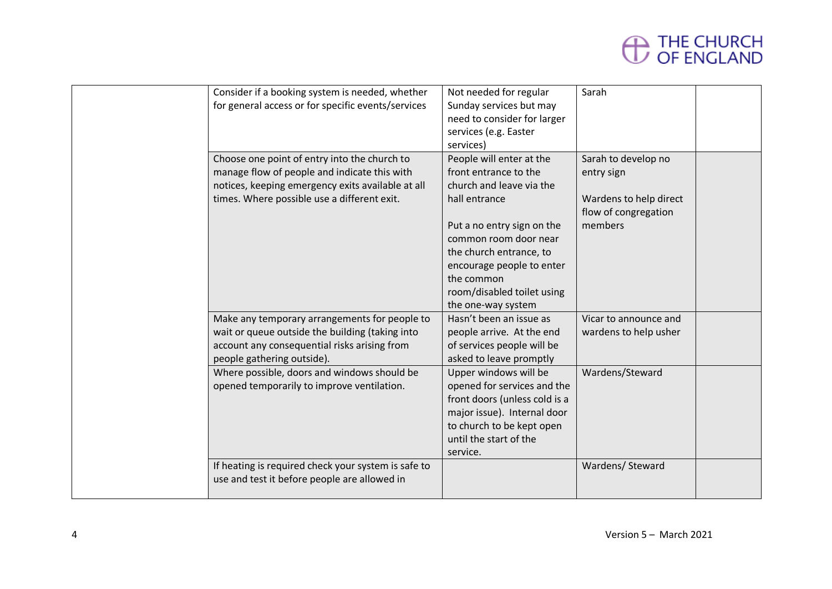

| Consider if a booking system is needed, whether<br>for general access or for specific events/services                                                                                            | Not needed for regular<br>Sunday services but may<br>need to consider for larger<br>services (e.g. Easter<br>services)                                                                                                                                                          | Sarah                                                                                          |  |
|--------------------------------------------------------------------------------------------------------------------------------------------------------------------------------------------------|---------------------------------------------------------------------------------------------------------------------------------------------------------------------------------------------------------------------------------------------------------------------------------|------------------------------------------------------------------------------------------------|--|
| Choose one point of entry into the church to<br>manage flow of people and indicate this with<br>notices, keeping emergency exits available at all<br>times. Where possible use a different exit. | People will enter at the<br>front entrance to the<br>church and leave via the<br>hall entrance<br>Put a no entry sign on the<br>common room door near<br>the church entrance, to<br>encourage people to enter<br>the common<br>room/disabled toilet using<br>the one-way system | Sarah to develop no<br>entry sign<br>Wardens to help direct<br>flow of congregation<br>members |  |
| Make any temporary arrangements for people to<br>wait or queue outside the building (taking into<br>account any consequential risks arising from<br>people gathering outside).                   | Hasn't been an issue as<br>people arrive. At the end<br>of services people will be<br>asked to leave promptly                                                                                                                                                                   | Vicar to announce and<br>wardens to help usher                                                 |  |
| Where possible, doors and windows should be<br>opened temporarily to improve ventilation.                                                                                                        | Upper windows will be<br>opened for services and the<br>front doors (unless cold is a<br>major issue). Internal door<br>to church to be kept open<br>until the start of the<br>service.                                                                                         | Wardens/Steward                                                                                |  |
| If heating is required check your system is safe to<br>use and test it before people are allowed in                                                                                              |                                                                                                                                                                                                                                                                                 | Wardens/ Steward                                                                               |  |
|                                                                                                                                                                                                  |                                                                                                                                                                                                                                                                                 |                                                                                                |  |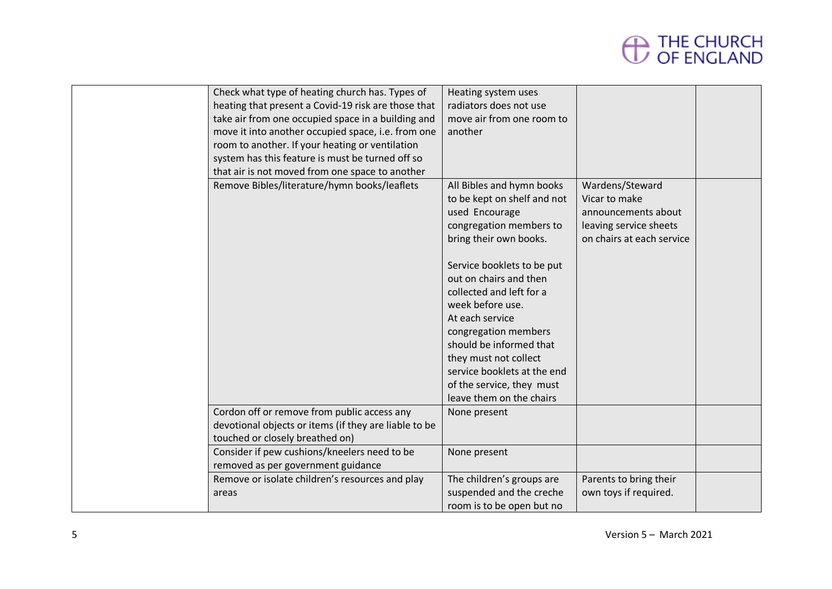| Check what type of heating church has. Types of<br>heating that present a Covid-19 risk are those that<br>take air from one occupied space in a building and<br>move it into another occupied space, i.e. from one<br>room to another. If your heating or ventilation<br>system has this feature is must be turned off so<br>that air is not moved from one space to another<br>Remove Bibles/literature/hymn books/leaflets | Heating system uses<br>radiators does not use<br>move air from one room to<br>another<br>All Bibles and hymn books<br>to be kept on shelf and not<br>used Encourage<br>congregation members to<br>bring their own books.<br>Service booklets to be put<br>out on chairs and then<br>collected and left for a<br>week before use.<br>At each service | Wardens/Steward<br>Vicar to make<br>announcements about<br>leaving service sheets<br>on chairs at each service |  |
|------------------------------------------------------------------------------------------------------------------------------------------------------------------------------------------------------------------------------------------------------------------------------------------------------------------------------------------------------------------------------------------------------------------------------|-----------------------------------------------------------------------------------------------------------------------------------------------------------------------------------------------------------------------------------------------------------------------------------------------------------------------------------------------------|----------------------------------------------------------------------------------------------------------------|--|
|                                                                                                                                                                                                                                                                                                                                                                                                                              | congregation members<br>should be informed that<br>they must not collect<br>service booklets at the end<br>of the service, they must<br>leave them on the chairs                                                                                                                                                                                    |                                                                                                                |  |
| Cordon off or remove from public access any<br>devotional objects or items (if they are liable to be<br>touched or closely breathed on)                                                                                                                                                                                                                                                                                      | None present                                                                                                                                                                                                                                                                                                                                        |                                                                                                                |  |
| Consider if pew cushions/kneelers need to be<br>removed as per government guidance                                                                                                                                                                                                                                                                                                                                           | None present                                                                                                                                                                                                                                                                                                                                        |                                                                                                                |  |
| Remove or isolate children's resources and play<br>areas                                                                                                                                                                                                                                                                                                                                                                     | The children's groups are<br>suspended and the creche<br>room is to be open but no                                                                                                                                                                                                                                                                  | Parents to bring their<br>own toys if required.                                                                |  |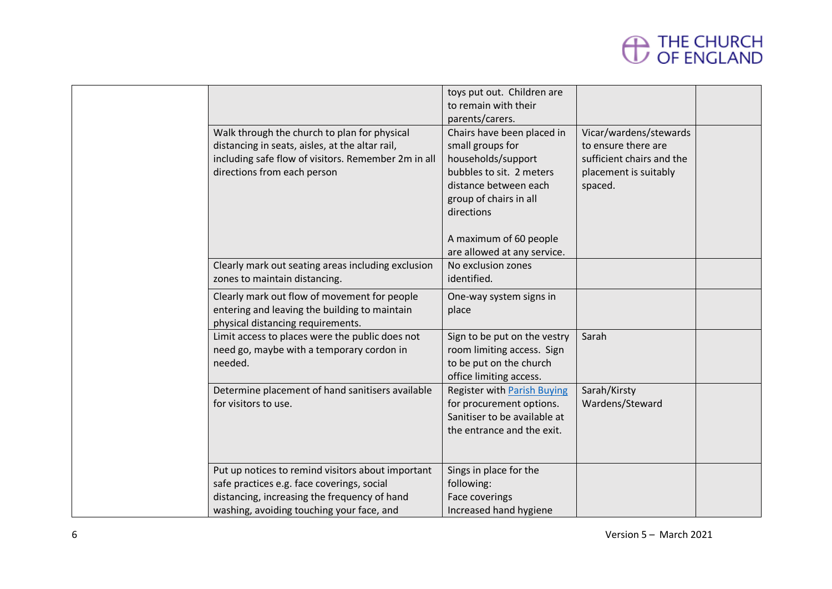|                                                                                                                                                                                              | toys put out. Children are<br>to remain with their                                                                    |                                                                            |  |
|----------------------------------------------------------------------------------------------------------------------------------------------------------------------------------------------|-----------------------------------------------------------------------------------------------------------------------|----------------------------------------------------------------------------|--|
|                                                                                                                                                                                              | parents/carers.                                                                                                       |                                                                            |  |
| Walk through the church to plan for physical<br>distancing in seats, aisles, at the altar rail,<br>including safe flow of visitors. Remember 2m in all                                       | Chairs have been placed in<br>small groups for<br>households/support                                                  | Vicar/wardens/stewards<br>to ensure there are<br>sufficient chairs and the |  |
| directions from each person                                                                                                                                                                  | bubbles to sit. 2 meters<br>distance between each<br>group of chairs in all<br>directions                             | placement is suitably<br>spaced.                                           |  |
|                                                                                                                                                                                              | A maximum of 60 people<br>are allowed at any service.                                                                 |                                                                            |  |
| Clearly mark out seating areas including exclusion<br>zones to maintain distancing.                                                                                                          | No exclusion zones<br>identified.                                                                                     |                                                                            |  |
| Clearly mark out flow of movement for people<br>entering and leaving the building to maintain<br>physical distancing requirements.                                                           | One-way system signs in<br>place                                                                                      |                                                                            |  |
| Limit access to places were the public does not<br>need go, maybe with a temporary cordon in<br>needed.                                                                                      | Sign to be put on the vestry<br>room limiting access. Sign<br>to be put on the church<br>office limiting access.      | Sarah                                                                      |  |
| Determine placement of hand sanitisers available<br>for visitors to use.                                                                                                                     | Register with Parish Buying<br>for procurement options.<br>Sanitiser to be available at<br>the entrance and the exit. | Sarah/Kirsty<br>Wardens/Steward                                            |  |
| Put up notices to remind visitors about important<br>safe practices e.g. face coverings, social<br>distancing, increasing the frequency of hand<br>washing, avoiding touching your face, and | Sings in place for the<br>following:<br>Face coverings<br>Increased hand hygiene                                      |                                                                            |  |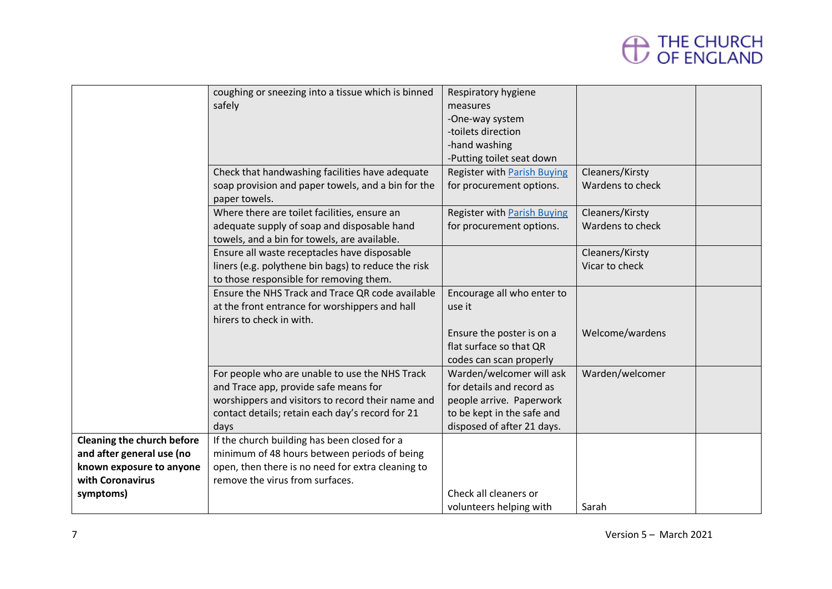|                                   | coughing or sneezing into a tissue which is binned  | Respiratory hygiene                |                  |  |
|-----------------------------------|-----------------------------------------------------|------------------------------------|------------------|--|
|                                   | safely                                              | measures                           |                  |  |
|                                   |                                                     | -One-way system                    |                  |  |
|                                   |                                                     | -toilets direction                 |                  |  |
|                                   |                                                     | -hand washing                      |                  |  |
|                                   |                                                     | -Putting toilet seat down          |                  |  |
|                                   | Check that handwashing facilities have adequate     | <b>Register with Parish Buying</b> | Cleaners/Kirsty  |  |
|                                   | soap provision and paper towels, and a bin for the  | for procurement options.           | Wardens to check |  |
|                                   | paper towels.                                       |                                    |                  |  |
|                                   | Where there are toilet facilities, ensure an        | <b>Register with Parish Buying</b> | Cleaners/Kirsty  |  |
|                                   | adequate supply of soap and disposable hand         | for procurement options.           | Wardens to check |  |
|                                   | towels, and a bin for towels, are available.        |                                    |                  |  |
|                                   | Ensure all waste receptacles have disposable        |                                    | Cleaners/Kirsty  |  |
|                                   | liners (e.g. polythene bin bags) to reduce the risk |                                    | Vicar to check   |  |
|                                   | to those responsible for removing them.             |                                    |                  |  |
|                                   | Ensure the NHS Track and Trace QR code available    | Encourage all who enter to         |                  |  |
|                                   | at the front entrance for worshippers and hall      | use it                             |                  |  |
|                                   | hirers to check in with.                            |                                    |                  |  |
|                                   |                                                     | Ensure the poster is on a          | Welcome/wardens  |  |
|                                   |                                                     | flat surface so that QR            |                  |  |
|                                   |                                                     | codes can scan properly            |                  |  |
|                                   | For people who are unable to use the NHS Track      | Warden/welcomer will ask           | Warden/welcomer  |  |
|                                   | and Trace app, provide safe means for               | for details and record as          |                  |  |
|                                   | worshippers and visitors to record their name and   | people arrive. Paperwork           |                  |  |
|                                   | contact details; retain each day's record for 21    | to be kept in the safe and         |                  |  |
|                                   | days                                                | disposed of after 21 days.         |                  |  |
| <b>Cleaning the church before</b> | If the church building has been closed for a        |                                    |                  |  |
| and after general use (no         | minimum of 48 hours between periods of being        |                                    |                  |  |
| known exposure to anyone          | open, then there is no need for extra cleaning to   |                                    |                  |  |
| with Coronavirus                  | remove the virus from surfaces.                     |                                    |                  |  |
| symptoms)                         |                                                     | Check all cleaners or              |                  |  |
|                                   |                                                     | volunteers helping with            | Sarah            |  |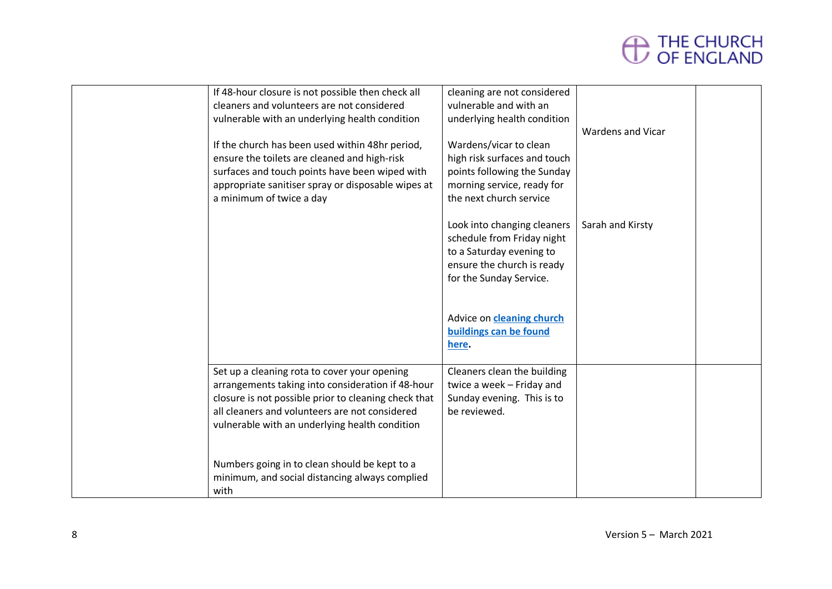

| If 48-hour closure is not possible then check all    | cleaning are not considered  |                          |  |
|------------------------------------------------------|------------------------------|--------------------------|--|
| cleaners and volunteers are not considered           | vulnerable and with an       |                          |  |
| vulnerable with an underlying health condition       | underlying health condition  |                          |  |
|                                                      |                              | <b>Wardens and Vicar</b> |  |
| If the church has been used within 48hr period,      | Wardens/vicar to clean       |                          |  |
| ensure the toilets are cleaned and high-risk         | high risk surfaces and touch |                          |  |
| surfaces and touch points have been wiped with       | points following the Sunday  |                          |  |
| appropriate sanitiser spray or disposable wipes at   | morning service, ready for   |                          |  |
|                                                      |                              |                          |  |
| a minimum of twice a day                             | the next church service      |                          |  |
|                                                      |                              |                          |  |
|                                                      | Look into changing cleaners  | Sarah and Kirsty         |  |
|                                                      | schedule from Friday night   |                          |  |
|                                                      | to a Saturday evening to     |                          |  |
|                                                      | ensure the church is ready   |                          |  |
|                                                      | for the Sunday Service.      |                          |  |
|                                                      |                              |                          |  |
|                                                      |                              |                          |  |
|                                                      | Advice on cleaning church    |                          |  |
|                                                      | buildings can be found       |                          |  |
|                                                      | here.                        |                          |  |
|                                                      |                              |                          |  |
| Set up a cleaning rota to cover your opening         | Cleaners clean the building  |                          |  |
| arrangements taking into consideration if 48-hour    | twice a week - Friday and    |                          |  |
| closure is not possible prior to cleaning check that | Sunday evening. This is to   |                          |  |
| all cleaners and volunteers are not considered       | be reviewed.                 |                          |  |
| vulnerable with an underlying health condition       |                              |                          |  |
|                                                      |                              |                          |  |
|                                                      |                              |                          |  |
|                                                      |                              |                          |  |
| Numbers going in to clean should be kept to a        |                              |                          |  |
| minimum, and social distancing always complied       |                              |                          |  |
| with                                                 |                              |                          |  |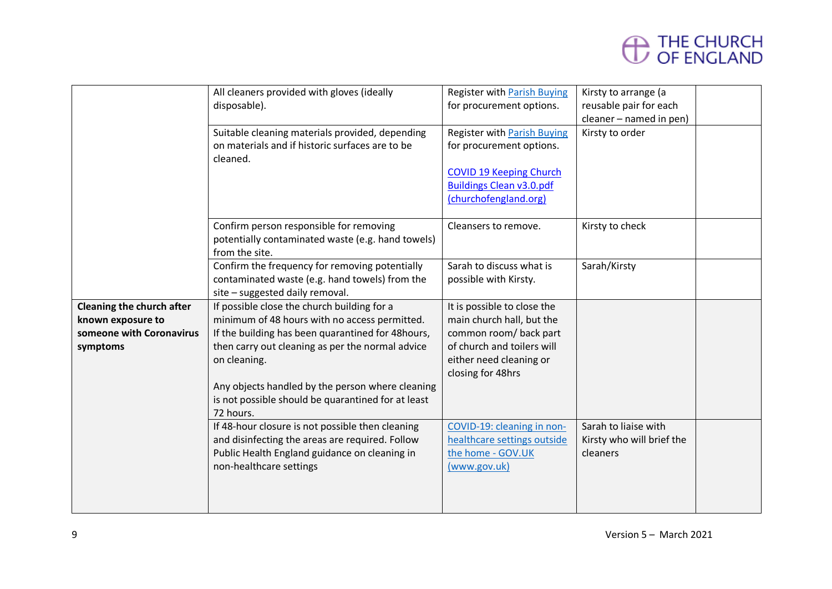

|                                                                                        | All cleaners provided with gloves (ideally<br>disposable).<br>Suitable cleaning materials provided, depending<br>on materials and if historic surfaces are to be<br>cleaned.                                                                                                                                                    | <b>Register with Parish Buying</b><br>for procurement options.<br><b>Register with Parish Buying</b><br>for procurement options.<br><b>COVID 19 Keeping Church</b><br><b>Buildings Clean v3.0.pdf</b><br>(churchofengland.org) | Kirsty to arrange (a<br>reusable pair for each<br>cleaner - named in pen)<br>Kirsty to order |  |
|----------------------------------------------------------------------------------------|---------------------------------------------------------------------------------------------------------------------------------------------------------------------------------------------------------------------------------------------------------------------------------------------------------------------------------|--------------------------------------------------------------------------------------------------------------------------------------------------------------------------------------------------------------------------------|----------------------------------------------------------------------------------------------|--|
|                                                                                        | Confirm person responsible for removing<br>potentially contaminated waste (e.g. hand towels)<br>from the site.                                                                                                                                                                                                                  | Cleansers to remove.                                                                                                                                                                                                           | Kirsty to check                                                                              |  |
|                                                                                        | Confirm the frequency for removing potentially<br>contaminated waste (e.g. hand towels) from the<br>site - suggested daily removal.                                                                                                                                                                                             | Sarah to discuss what is<br>possible with Kirsty.                                                                                                                                                                              | Sarah/Kirsty                                                                                 |  |
| Cleaning the church after<br>known exposure to<br>someone with Coronavirus<br>symptoms | If possible close the church building for a<br>minimum of 48 hours with no access permitted.<br>If the building has been quarantined for 48hours,<br>then carry out cleaning as per the normal advice<br>on cleaning.<br>Any objects handled by the person where cleaning<br>is not possible should be quarantined for at least | It is possible to close the<br>main church hall, but the<br>common room/ back part<br>of church and toilers will<br>either need cleaning or<br>closing for 48hrs                                                               |                                                                                              |  |
|                                                                                        | 72 hours.<br>If 48-hour closure is not possible then cleaning<br>and disinfecting the areas are required. Follow<br>Public Health England guidance on cleaning in<br>non-healthcare settings                                                                                                                                    | COVID-19: cleaning in non-<br>healthcare settings outside<br>the home - GOV.UK<br>(www.gov.uk)                                                                                                                                 | Sarah to liaise with<br>Kirsty who will brief the<br>cleaners                                |  |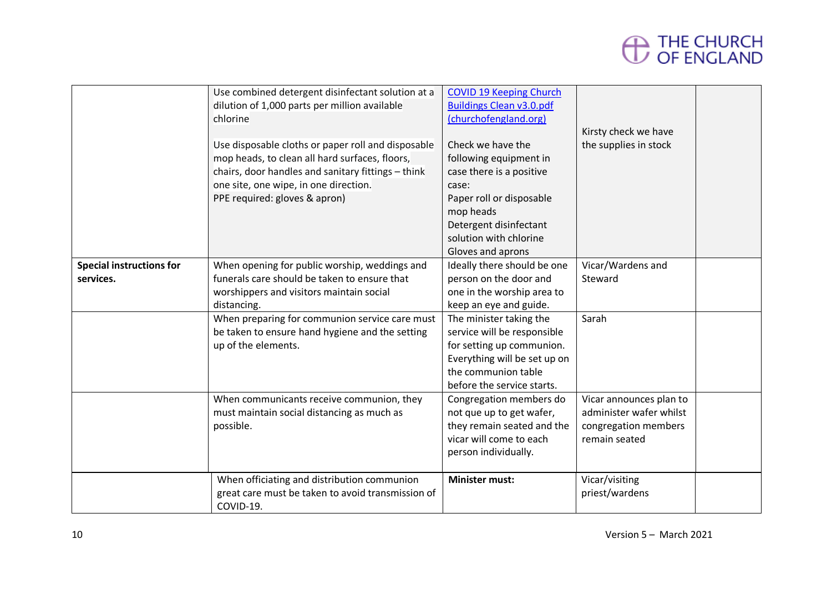

|                                 | Use combined detergent disinfectant solution at a<br>dilution of 1,000 parts per million available | <b>COVID 19 Keeping Church</b><br><b>Buildings Clean v3.0.pdf</b> |                         |  |
|---------------------------------|----------------------------------------------------------------------------------------------------|-------------------------------------------------------------------|-------------------------|--|
|                                 | chlorine                                                                                           | (churchofengland.org)                                             | Kirsty check we have    |  |
|                                 | Use disposable cloths or paper roll and disposable                                                 | Check we have the                                                 | the supplies in stock   |  |
|                                 | mop heads, to clean all hard surfaces, floors,                                                     | following equipment in                                            |                         |  |
|                                 | chairs, door handles and sanitary fittings - think                                                 | case there is a positive                                          |                         |  |
|                                 | one site, one wipe, in one direction.                                                              | case:                                                             |                         |  |
|                                 | PPE required: gloves & apron)                                                                      | Paper roll or disposable                                          |                         |  |
|                                 |                                                                                                    | mop heads                                                         |                         |  |
|                                 |                                                                                                    | Detergent disinfectant                                            |                         |  |
|                                 |                                                                                                    | solution with chlorine                                            |                         |  |
|                                 |                                                                                                    | Gloves and aprons                                                 |                         |  |
| <b>Special instructions for</b> | When opening for public worship, weddings and                                                      | Ideally there should be one                                       | Vicar/Wardens and       |  |
| services.                       | funerals care should be taken to ensure that                                                       | person on the door and                                            | Steward                 |  |
|                                 | worshippers and visitors maintain social                                                           | one in the worship area to                                        |                         |  |
|                                 | distancing.                                                                                        | keep an eye and guide.                                            |                         |  |
|                                 | When preparing for communion service care must                                                     | The minister taking the                                           | Sarah                   |  |
|                                 | be taken to ensure hand hygiene and the setting                                                    | service will be responsible                                       |                         |  |
|                                 | up of the elements.                                                                                | for setting up communion.                                         |                         |  |
|                                 |                                                                                                    | Everything will be set up on                                      |                         |  |
|                                 |                                                                                                    | the communion table                                               |                         |  |
|                                 |                                                                                                    | before the service starts.                                        |                         |  |
|                                 | When communicants receive communion, they                                                          | Congregation members do                                           | Vicar announces plan to |  |
|                                 | must maintain social distancing as much as                                                         | not que up to get wafer,                                          | administer wafer whilst |  |
|                                 | possible.                                                                                          | they remain seated and the                                        | congregation members    |  |
|                                 |                                                                                                    | vicar will come to each                                           | remain seated           |  |
|                                 |                                                                                                    | person individually.                                              |                         |  |
|                                 | When officiating and distribution communion                                                        | <b>Minister must:</b>                                             | Vicar/visiting          |  |
|                                 | great care must be taken to avoid transmission of                                                  |                                                                   | priest/wardens          |  |
|                                 | COVID-19.                                                                                          |                                                                   |                         |  |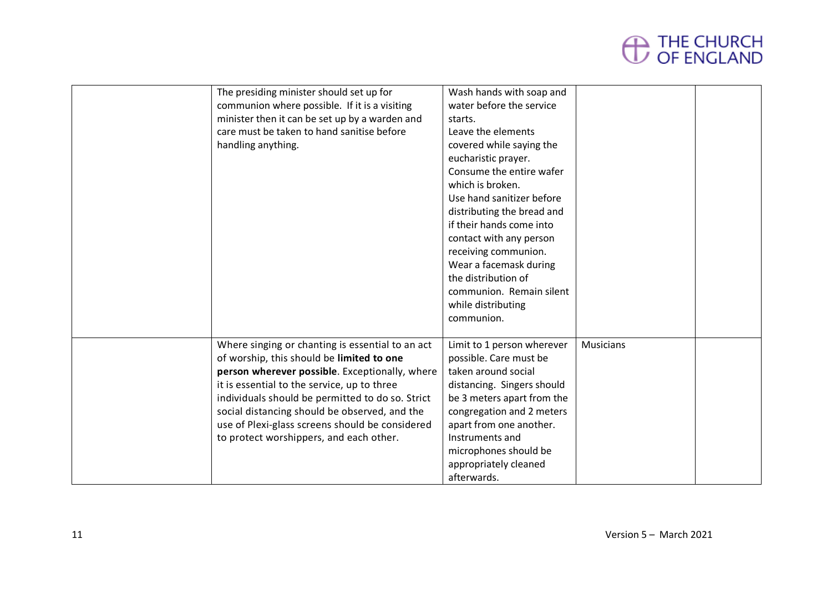

| The presiding minister should set up for         | Wash hands with soap and   |           |  |
|--------------------------------------------------|----------------------------|-----------|--|
| communion where possible. If it is a visiting    | water before the service   |           |  |
| minister then it can be set up by a warden and   | starts.                    |           |  |
| care must be taken to hand sanitise before       | Leave the elements         |           |  |
| handling anything.                               | covered while saying the   |           |  |
|                                                  | eucharistic prayer.        |           |  |
|                                                  | Consume the entire wafer   |           |  |
|                                                  | which is broken.           |           |  |
|                                                  | Use hand sanitizer before  |           |  |
|                                                  | distributing the bread and |           |  |
|                                                  | if their hands come into   |           |  |
|                                                  | contact with any person    |           |  |
|                                                  | receiving communion.       |           |  |
|                                                  | Wear a facemask during     |           |  |
|                                                  | the distribution of        |           |  |
|                                                  | communion. Remain silent   |           |  |
|                                                  | while distributing         |           |  |
|                                                  | communion.                 |           |  |
|                                                  |                            |           |  |
| Where singing or chanting is essential to an act | Limit to 1 person wherever | Musicians |  |
| of worship, this should be limited to one        | possible. Care must be     |           |  |
| person wherever possible. Exceptionally, where   | taken around social        |           |  |
| it is essential to the service, up to three      | distancing. Singers should |           |  |
| individuals should be permitted to do so. Strict | be 3 meters apart from the |           |  |
| social distancing should be observed, and the    | congregation and 2 meters  |           |  |
| use of Plexi-glass screens should be considered  | apart from one another.    |           |  |
| to protect worshippers, and each other.          | Instruments and            |           |  |
|                                                  | microphones should be      |           |  |
|                                                  | appropriately cleaned      |           |  |
|                                                  | afterwards.                |           |  |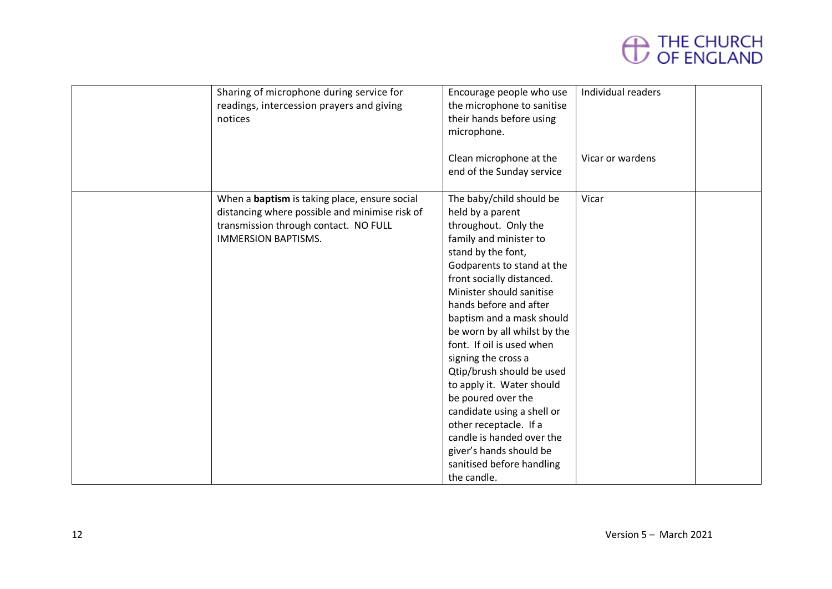

| Sharing of microphone during service for<br>readings, intercession prayers and giving<br>notices                                                                              | Encourage people who use<br>the microphone to sanitise<br>their hands before using<br>microphone.<br>Clean microphone at the<br>end of the Sunday service                                                                                                                                                                                                                                                                                                                                                                                                                                          | Individual readers<br>Vicar or wardens |  |
|-------------------------------------------------------------------------------------------------------------------------------------------------------------------------------|----------------------------------------------------------------------------------------------------------------------------------------------------------------------------------------------------------------------------------------------------------------------------------------------------------------------------------------------------------------------------------------------------------------------------------------------------------------------------------------------------------------------------------------------------------------------------------------------------|----------------------------------------|--|
| When a <b>baptism</b> is taking place, ensure social<br>distancing where possible and minimise risk of<br>transmission through contact. NO FULL<br><b>IMMERSION BAPTISMS.</b> | The baby/child should be<br>held by a parent<br>throughout. Only the<br>family and minister to<br>stand by the font,<br>Godparents to stand at the<br>front socially distanced.<br>Minister should sanitise<br>hands before and after<br>baptism and a mask should<br>be worn by all whilst by the<br>font. If oil is used when<br>signing the cross a<br>Qtip/brush should be used<br>to apply it. Water should<br>be poured over the<br>candidate using a shell or<br>other receptacle. If a<br>candle is handed over the<br>giver's hands should be<br>sanitised before handling<br>the candle. | Vicar                                  |  |